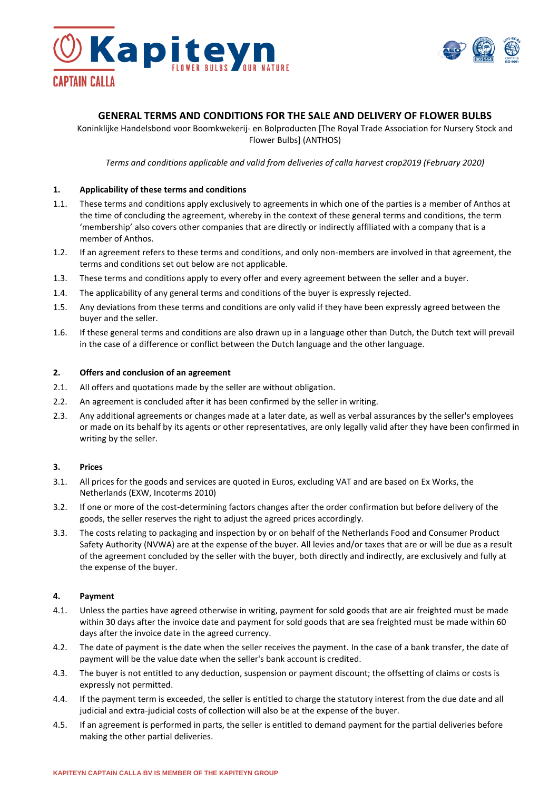



# **GENERAL TERMS AND CONDITIONS FOR THE SALE AND DELIVERY OF FLOWER BULBS**

Koninklijke Handelsbond voor Boomkwekerij- en Bolproducten [The Royal Trade Association for Nursery Stock and Flower Bulbs] (ANTHOS)

*Terms and conditions applicable and valid from deliveries of calla harvest crop2019 (February 2020)*

#### **1. Applicability of these terms and conditions**

- 1.1. These terms and conditions apply exclusively to agreements in which one of the parties is a member of Anthos at the time of concluding the agreement, whereby in the context of these general terms and conditions, the term 'membership' also covers other companies that are directly or indirectly affiliated with a company that is a member of Anthos.
- 1.2. If an agreement refers to these terms and conditions, and only non-members are involved in that agreement, the terms and conditions set out below are not applicable.
- 1.3. These terms and conditions apply to every offer and every agreement between the seller and a buyer.
- 1.4. The applicability of any general terms and conditions of the buyer is expressly rejected.
- 1.5. Any deviations from these terms and conditions are only valid if they have been expressly agreed between the buyer and the seller.
- 1.6. If these general terms and conditions are also drawn up in a language other than Dutch, the Dutch text will prevail in the case of a difference or conflict between the Dutch language and the other language.

#### **2. Offers and conclusion of an agreement**

- 2.1. All offers and quotations made by the seller are without obligation.
- 2.2. An agreement is concluded after it has been confirmed by the seller in writing.
- 2.3. Any additional agreements or changes made at a later date, as well as verbal assurances by the seller's employees or made on its behalf by its agents or other representatives, are only legally valid after they have been confirmed in writing by the seller.

### **3. Prices**

- 3.1. All prices for the goods and services are quoted in Euros, excluding VAT and are based on Ex Works, the Netherlands (EXW, Incoterms 2010)
- 3.2. If one or more of the cost-determining factors changes after the order confirmation but before delivery of the goods, the seller reserves the right to adjust the agreed prices accordingly.
- 3.3. The costs relating to packaging and inspection by or on behalf of the Netherlands Food and Consumer Product Safety Authority (NVWA) are at the expense of the buyer. All levies and/or taxes that are or will be due as a result of the agreement concluded by the seller with the buyer, both directly and indirectly, are exclusively and fully at the expense of the buyer.

#### **4. Payment**

- 4.1. Unless the parties have agreed otherwise in writing, payment for sold goods that are air freighted must be made within 30 days after the invoice date and payment for sold goods that are sea freighted must be made within 60 days after the invoice date in the agreed currency.
- 4.2. The date of payment is the date when the seller receives the payment. In the case of a bank transfer, the date of payment will be the value date when the seller's bank account is credited.
- 4.3. The buyer is not entitled to any deduction, suspension or payment discount; the offsetting of claims or costs is expressly not permitted.
- 4.4. If the payment term is exceeded, the seller is entitled to charge the statutory interest from the due date and all judicial and extra-judicial costs of collection will also be at the expense of the buyer.
- 4.5. If an agreement is performed in parts, the seller is entitled to demand payment for the partial deliveries before making the other partial deliveries.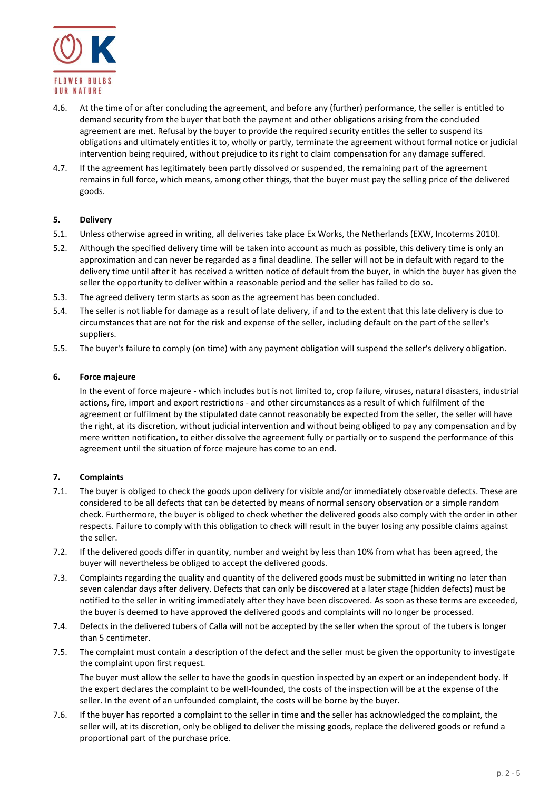

- 4.6. At the time of or after concluding the agreement, and before any (further) performance, the seller is entitled to demand security from the buyer that both the payment and other obligations arising from the concluded agreement are met. Refusal by the buyer to provide the required security entitles the seller to suspend its obligations and ultimately entitles it to, wholly or partly, terminate the agreement without formal notice or judicial intervention being required, without prejudice to its right to claim compensation for any damage suffered.
- 4.7. If the agreement has legitimately been partly dissolved or suspended, the remaining part of the agreement remains in full force, which means, among other things, that the buyer must pay the selling price of the delivered goods.

## **5. Delivery**

- 5.1. Unless otherwise agreed in writing, all deliveries take place Ex Works, the Netherlands (EXW, Incoterms 2010).
- 5.2. Although the specified delivery time will be taken into account as much as possible, this delivery time is only an approximation and can never be regarded as a final deadline. The seller will not be in default with regard to the delivery time until after it has received a written notice of default from the buyer, in which the buyer has given the seller the opportunity to deliver within a reasonable period and the seller has failed to do so.
- 5.3. The agreed delivery term starts as soon as the agreement has been concluded.
- 5.4. The seller is not liable for damage as a result of late delivery, if and to the extent that this late delivery is due to circumstances that are not for the risk and expense of the seller, including default on the part of the seller's suppliers.
- 5.5. The buyer's failure to comply (on time) with any payment obligation will suspend the seller's delivery obligation.

### **6. Force majeure**

In the event of force majeure - which includes but is not limited to, crop failure, viruses, natural disasters, industrial actions, fire, import and export restrictions - and other circumstances as a result of which fulfilment of the agreement or fulfilment by the stipulated date cannot reasonably be expected from the seller, the seller will have the right, at its discretion, without judicial intervention and without being obliged to pay any compensation and by mere written notification, to either dissolve the agreement fully or partially or to suspend the performance of this agreement until the situation of force majeure has come to an end.

### **7. Complaints**

- 7.1. The buyer is obliged to check the goods upon delivery for visible and/or immediately observable defects. These are considered to be all defects that can be detected by means of normal sensory observation or a simple random check. Furthermore, the buyer is obliged to check whether the delivered goods also comply with the order in other respects. Failure to comply with this obligation to check will result in the buyer losing any possible claims against the seller.
- 7.2. If the delivered goods differ in quantity, number and weight by less than 10% from what has been agreed, the buyer will nevertheless be obliged to accept the delivered goods.
- 7.3. Complaints regarding the quality and quantity of the delivered goods must be submitted in writing no later than seven calendar days after delivery. Defects that can only be discovered at a later stage (hidden defects) must be notified to the seller in writing immediately after they have been discovered. As soon as these terms are exceeded, the buyer is deemed to have approved the delivered goods and complaints will no longer be processed.
- 7.4. Defects in the delivered tubers of Calla will not be accepted by the seller when the sprout of the tubers is longer than 5 centimeter.
- 7.5. The complaint must contain a description of the defect and the seller must be given the opportunity to investigate the complaint upon first request.

The buyer must allow the seller to have the goods in question inspected by an expert or an independent body. If the expert declares the complaint to be well-founded, the costs of the inspection will be at the expense of the seller. In the event of an unfounded complaint, the costs will be borne by the buyer.

7.6. If the buyer has reported a complaint to the seller in time and the seller has acknowledged the complaint, the seller will, at its discretion, only be obliged to deliver the missing goods, replace the delivered goods or refund a proportional part of the purchase price.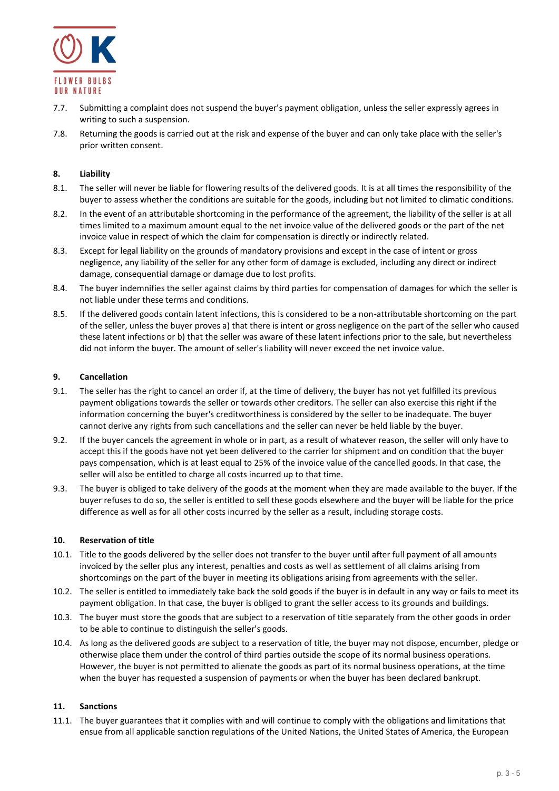

- 7.7. Submitting a complaint does not suspend the buyer's payment obligation, unless the seller expressly agrees in writing to such a suspension.
- 7.8. Returning the goods is carried out at the risk and expense of the buyer and can only take place with the seller's prior written consent.

## **8. Liability**

- 8.1. The seller will never be liable for flowering results of the delivered goods. It is at all times the responsibility of the buyer to assess whether the conditions are suitable for the goods, including but not limited to climatic conditions.
- 8.2. In the event of an attributable shortcoming in the performance of the agreement, the liability of the seller is at all times limited to a maximum amount equal to the net invoice value of the delivered goods or the part of the net invoice value in respect of which the claim for compensation is directly or indirectly related.
- 8.3. Except for legal liability on the grounds of mandatory provisions and except in the case of intent or gross negligence, any liability of the seller for any other form of damage is excluded, including any direct or indirect damage, consequential damage or damage due to lost profits.
- 8.4. The buyer indemnifies the seller against claims by third parties for compensation of damages for which the seller is not liable under these terms and conditions.
- 8.5. If the delivered goods contain latent infections, this is considered to be a non-attributable shortcoming on the part of the seller, unless the buyer proves a) that there is intent or gross negligence on the part of the seller who caused these latent infections or b) that the seller was aware of these latent infections prior to the sale, but nevertheless did not inform the buyer. The amount of seller's liability will never exceed the net invoice value.

### **9. Cancellation**

- 9.1. The seller has the right to cancel an order if, at the time of delivery, the buyer has not yet fulfilled its previous payment obligations towards the seller or towards other creditors. The seller can also exercise this right if the information concerning the buyer's creditworthiness is considered by the seller to be inadequate. The buyer cannot derive any rights from such cancellations and the seller can never be held liable by the buyer.
- 9.2. If the buyer cancels the agreement in whole or in part, as a result of whatever reason, the seller will only have to accept this if the goods have not yet been delivered to the carrier for shipment and on condition that the buyer pays compensation, which is at least equal to 25% of the invoice value of the cancelled goods. In that case, the seller will also be entitled to charge all costs incurred up to that time.
- 9.3. The buyer is obliged to take delivery of the goods at the moment when they are made available to the buyer. If the buyer refuses to do so, the seller is entitled to sell these goods elsewhere and the buyer will be liable for the price difference as well as for all other costs incurred by the seller as a result, including storage costs.

### **10. Reservation of title**

- 10.1. Title to the goods delivered by the seller does not transfer to the buyer until after full payment of all amounts invoiced by the seller plus any interest, penalties and costs as well as settlement of all claims arising from shortcomings on the part of the buyer in meeting its obligations arising from agreements with the seller.
- 10.2. The seller is entitled to immediately take back the sold goods if the buyer is in default in any way or fails to meet its payment obligation. In that case, the buyer is obliged to grant the seller access to its grounds and buildings.
- 10.3. The buyer must store the goods that are subject to a reservation of title separately from the other goods in order to be able to continue to distinguish the seller's goods.
- 10.4. As long as the delivered goods are subject to a reservation of title, the buyer may not dispose, encumber, pledge or otherwise place them under the control of third parties outside the scope of its normal business operations. However, the buyer is not permitted to alienate the goods as part of its normal business operations, at the time when the buyer has requested a suspension of payments or when the buyer has been declared bankrupt.

# **11. Sanctions**

11.1. The buyer guarantees that it complies with and will continue to comply with the obligations and limitations that ensue from all applicable sanction regulations of the United Nations, the United States of America, the European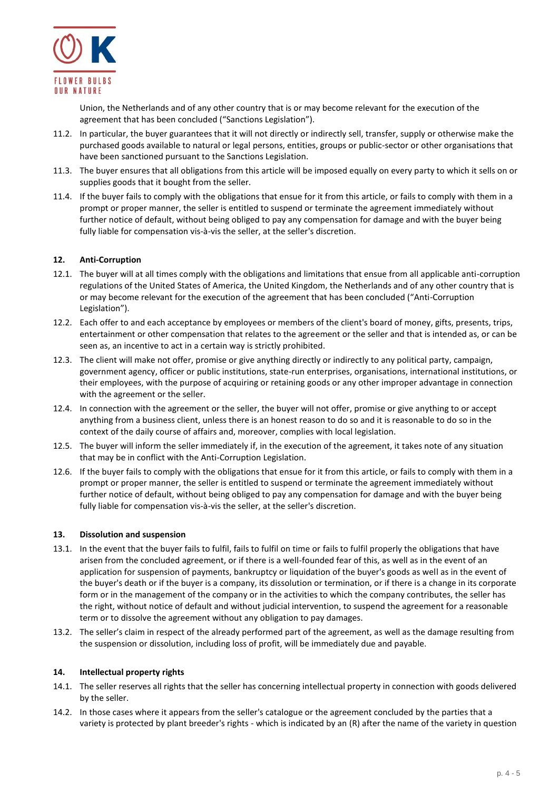

Union, the Netherlands and of any other country that is or may become relevant for the execution of the agreement that has been concluded ("Sanctions Legislation").

- 11.2. In particular, the buyer guarantees that it will not directly or indirectly sell, transfer, supply or otherwise make the purchased goods available to natural or legal persons, entities, groups or public-sector or other organisations that have been sanctioned pursuant to the Sanctions Legislation.
- 11.3. The buyer ensures that all obligations from this article will be imposed equally on every party to which it sells on or supplies goods that it bought from the seller.
- 11.4. If the buyer fails to comply with the obligations that ensue for it from this article, or fails to comply with them in a prompt or proper manner, the seller is entitled to suspend or terminate the agreement immediately without further notice of default, without being obliged to pay any compensation for damage and with the buyer being fully liable for compensation vis-à-vis the seller, at the seller's discretion.

## **12. Anti-Corruption**

- 12.1. The buyer will at all times comply with the obligations and limitations that ensue from all applicable anti-corruption regulations of the United States of America, the United Kingdom, the Netherlands and of any other country that is or may become relevant for the execution of the agreement that has been concluded ("Anti-Corruption Legislation").
- 12.2. Each offer to and each acceptance by employees or members of the client's board of money, gifts, presents, trips, entertainment or other compensation that relates to the agreement or the seller and that is intended as, or can be seen as, an incentive to act in a certain way is strictly prohibited.
- 12.3. The client will make not offer, promise or give anything directly or indirectly to any political party, campaign, government agency, officer or public institutions, state-run enterprises, organisations, international institutions, or their employees, with the purpose of acquiring or retaining goods or any other improper advantage in connection with the agreement or the seller.
- 12.4. In connection with the agreement or the seller, the buyer will not offer, promise or give anything to or accept anything from a business client, unless there is an honest reason to do so and it is reasonable to do so in the context of the daily course of affairs and, moreover, complies with local legislation.
- 12.5. The buyer will inform the seller immediately if, in the execution of the agreement, it takes note of any situation that may be in conflict with the Anti-Corruption Legislation.
- 12.6. If the buyer fails to comply with the obligations that ensue for it from this article, or fails to comply with them in a prompt or proper manner, the seller is entitled to suspend or terminate the agreement immediately without further notice of default, without being obliged to pay any compensation for damage and with the buyer being fully liable for compensation vis-à-vis the seller, at the seller's discretion.

### **13. Dissolution and suspension**

- 13.1. In the event that the buyer fails to fulfil, fails to fulfil on time or fails to fulfil properly the obligations that have arisen from the concluded agreement, or if there is a well-founded fear of this, as well as in the event of an application for suspension of payments, bankruptcy or liquidation of the buyer's goods as well as in the event of the buyer's death or if the buyer is a company, its dissolution or termination, or if there is a change in its corporate form or in the management of the company or in the activities to which the company contributes, the seller has the right, without notice of default and without judicial intervention, to suspend the agreement for a reasonable term or to dissolve the agreement without any obligation to pay damages.
- 13.2. The seller's claim in respect of the already performed part of the agreement, as well as the damage resulting from the suspension or dissolution, including loss of profit, will be immediately due and payable.

### **14. Intellectual property rights**

- 14.1. The seller reserves all rights that the seller has concerning intellectual property in connection with goods delivered by the seller.
- 14.2. In those cases where it appears from the seller's catalogue or the agreement concluded by the parties that a variety is protected by plant breeder's rights - which is indicated by an (R) after the name of the variety in question